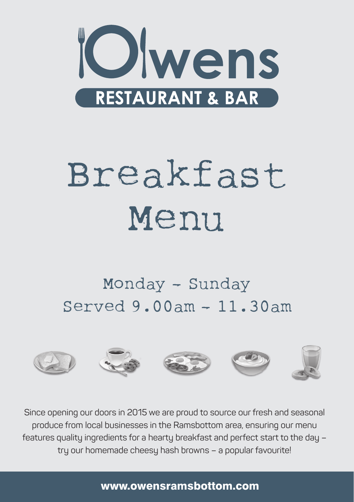

# Breakfast Menu

## Monday – Sunday Served 9.00am – 11.30am



Since opening our doors in 2015 we are proud to source our fresh and seasonal produce from local businesses in the Ramsbottom area, ensuring our menu features quality ingredients for a hearty breakfast and perfect start to the day – try our homemade cheesy hash browns – a popular favourite!

www.owensramsbottom.com